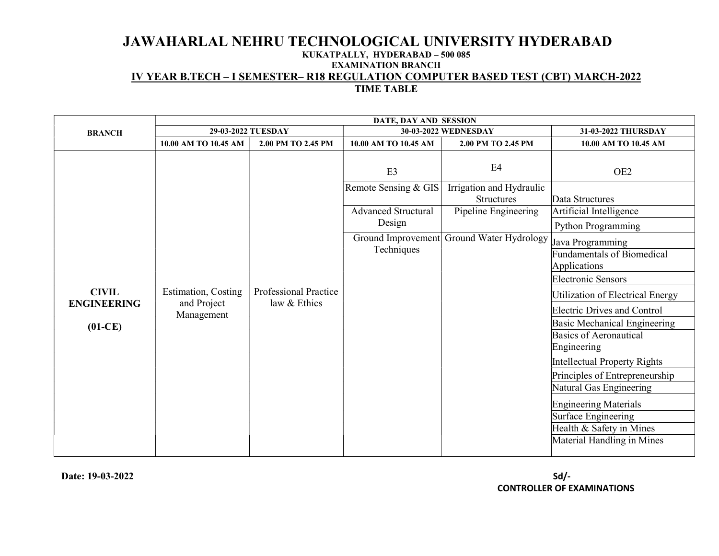## JAWAHARLAL NEHRU TECHNOLOGICAL UNIVERSITY HYDERABAD KUKATPALLY, HYDERABAD – 500 085 EXAMINATION BRANCH IV YEAR B.TECH – I SEMESTER– R18 REGULATION COMPUTER BASED TEST (CBT) MARCH-2022 TIME TABLE

|                    |                           |                       | DATE, DAY AND SESSION      |                                               |                                                   |
|--------------------|---------------------------|-----------------------|----------------------------|-----------------------------------------------|---------------------------------------------------|
| <b>BRANCH</b>      | 29-03-2022 TUESDAY        |                       |                            | 30-03-2022 WEDNESDAY                          | 31-03-2022 THURSDAY                               |
|                    | 10.00 AM TO 10.45 AM      | 2.00 PM TO 2.45 PM    | 10.00 AM TO 10.45 AM       | 2.00 PM TO 2.45 PM                            | 10.00 AM TO 10.45 AM                              |
|                    |                           |                       | E <sub>3</sub>             | E4                                            | OE <sub>2</sub>                                   |
|                    |                           |                       | Remote Sensing & GIS       | Irrigation and Hydraulic<br><b>Structures</b> | Data Structures                                   |
|                    |                           |                       | <b>Advanced Structural</b> | Pipeline Engineering                          | Artificial Intelligence                           |
|                    |                           |                       | Design                     |                                               | <b>Python Programming</b>                         |
|                    |                           |                       |                            | Ground Improvement Ground Water Hydrology     | Java Programming                                  |
|                    | Estimation, Costing       | Professional Practice | Techniques                 |                                               | <b>Fundamentals of Biomedical</b><br>Applications |
|                    |                           |                       |                            |                                               | Electronic Sensors                                |
| <b>CIVIL</b>       |                           |                       |                            |                                               | Utilization of Electrical Energy                  |
| <b>ENGINEERING</b> | and Project<br>Management | law & Ethics          |                            |                                               | <b>Electric Drives and Control</b>                |
| $(01-CE)$          |                           |                       |                            |                                               | Basic Mechanical Engineering                      |
|                    |                           |                       |                            |                                               | Basics of Aeronautical                            |
|                    |                           |                       |                            |                                               | Engineering                                       |
|                    |                           |                       |                            |                                               | Intellectual Property Rights                      |
|                    |                           |                       |                            |                                               | Principles of Entrepreneurship                    |
|                    |                           |                       |                            |                                               | Natural Gas Engineering                           |
|                    |                           |                       |                            |                                               | <b>Engineering Materials</b>                      |
|                    |                           |                       |                            |                                               | Surface Engineering                               |
|                    |                           |                       |                            |                                               | Health & Safety in Mines                          |
|                    |                           |                       |                            |                                               | Material Handling in Mines                        |
|                    |                           |                       |                            |                                               |                                                   |

Date: 19-03-2022 Sd/-CONTROLLER OF EXAMINATIONS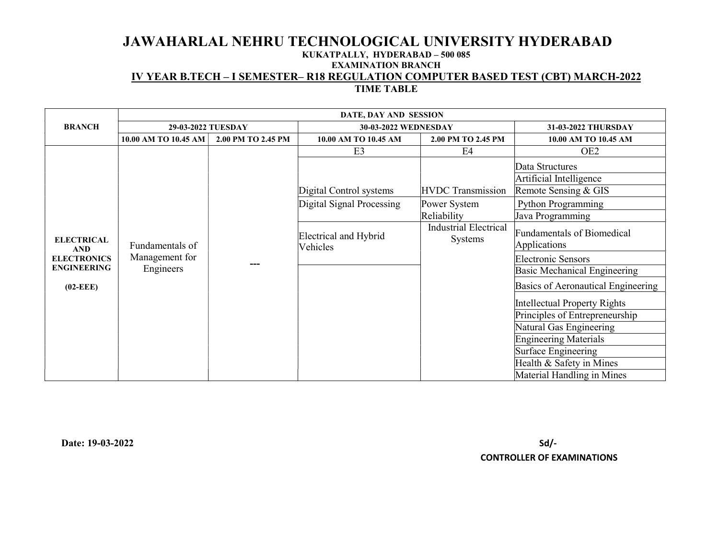## KUKATPALLY, HYDERABAD – 500 085

#### EXAMINATION BRANCH

## IV YEAR B.TECH – I SEMESTER– R18 REGULATION COMPUTER BASED TEST (CBT) MARCH-2022

TIME TABLE

|                                 |                      |                                   | DATE, DAY AND SESSION             |                                         |                                                   |
|---------------------------------|----------------------|-----------------------------------|-----------------------------------|-----------------------------------------|---------------------------------------------------|
| <b>BRANCH</b>                   | 29-03-2022 TUESDAY   |                                   | 30-03-2022 WEDNESDAY              |                                         | 31-03-2022 THURSDAY                               |
|                                 | 10.00 AM TO 10.45 AM | 2.00 PM TO 2.45 PM                | 10.00 AM TO 10.45 AM              | 2.00 PM TO 2.45 PM                      | 10.00 AM TO 10.45 AM                              |
|                                 |                      |                                   | E <sub>3</sub>                    | E4                                      | OE <sub>2</sub>                                   |
|                                 |                      |                                   |                                   |                                         | Data Structures                                   |
|                                 |                      |                                   |                                   |                                         | Artificial Intelligence                           |
|                                 |                      |                                   | Digital Control systems           | <b>HVDC</b> Transmission                | Remote Sensing & GIS                              |
|                                 |                      |                                   | Digital Signal Processing         | Power System                            | <b>Python Programming</b>                         |
|                                 |                      | Fundamentals of<br>Management for |                                   | Reliability                             | Java Programming                                  |
| <b>ELECTRICAL</b><br><b>AND</b> |                      |                                   | Electrical and Hybrid<br>Vehicles | <b>Industrial Electrical</b><br>Systems | <b>Fundamentals of Biomedical</b><br>Applications |
| <b>ELECTRONICS</b>              |                      |                                   |                                   |                                         | <b>Electronic Sensors</b>                         |
| <b>ENGINEERING</b>              | Engineers            | ---                               |                                   |                                         | Basic Mechanical Engineering                      |
| $(02-EEE)$                      |                      |                                   |                                   |                                         | Basics of Aeronautical Engineering                |
|                                 |                      |                                   |                                   |                                         | Intellectual Property Rights                      |
|                                 |                      |                                   |                                   |                                         | Principles of Entrepreneurship                    |
|                                 |                      |                                   |                                   |                                         | Natural Gas Engineering                           |
|                                 |                      |                                   |                                   |                                         | <b>Engineering Materials</b>                      |
|                                 |                      |                                   |                                   |                                         | Surface Engineering                               |
|                                 |                      |                                   |                                   |                                         | Health & Safety in Mines                          |
|                                 |                      |                                   |                                   |                                         | Material Handling in Mines                        |

Date: 19-03-2022 Sd/-CONTROLLER OF EXAMINATIONS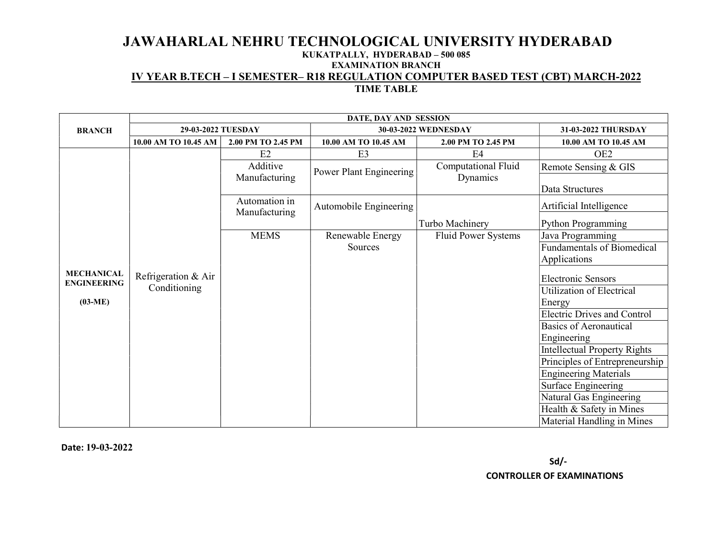## JAWAHARLAL NEHRU TECHNOLOGICAL UNIVERSITY HYDERABAD KUKATPALLY, HYDERABAD – 500 085 EXAMINATION BRANCH IV YEAR B.TECH – I SEMESTER– R18 REGULATION COMPUTER BASED TEST (CBT) MARCH-2022

TIME TABLE

|                                         |                      |                                | DATE, DAY AND SESSION   |                      |                                     |
|-----------------------------------------|----------------------|--------------------------------|-------------------------|----------------------|-------------------------------------|
| <b>BRANCH</b>                           | 29-03-2022 TUESDAY   |                                |                         | 30-03-2022 WEDNESDAY | 31-03-2022 THURSDAY                 |
|                                         | 10.00 AM TO 10.45 AM | 2.00 PM TO 2.45 PM             | 10.00 AM TO 10.45 AM    | 2.00 PM TO 2.45 PM   | 10.00 AM TO 10.45 AM                |
|                                         |                      | E2                             | E <sub>3</sub>          | E <sub>4</sub>       | OE <sub>2</sub>                     |
|                                         |                      | Additive                       | Power Plant Engineering | Computational Fluid  | Remote Sensing & GIS                |
|                                         |                      | Manufacturing                  |                         | Dynamics             |                                     |
|                                         |                      |                                |                         |                      | Data Structures                     |
|                                         |                      | Automation in<br>Manufacturing | Automobile Engineering  |                      | Artificial Intelligence             |
|                                         |                      |                                |                         | Turbo Machinery      | Python Programming                  |
|                                         |                      | <b>MEMS</b>                    | Renewable Energy        | Fluid Power Systems  | Java Programming                    |
|                                         |                      |                                | Sources                 |                      | <b>Fundamentals of Biomedical</b>   |
|                                         |                      |                                |                         |                      | Applications                        |
| <b>MECHANICAL</b><br><b>ENGINEERING</b> | Refrigeration & Air  |                                |                         |                      | <b>Electronic Sensors</b>           |
|                                         | Conditioning         |                                |                         |                      | Utilization of Electrical           |
| $(03-ME)$                               |                      |                                |                         |                      | Energy                              |
|                                         |                      |                                |                         |                      | <b>Electric Drives and Control</b>  |
|                                         |                      |                                |                         |                      | <b>Basics of Aeronautical</b>       |
|                                         |                      |                                |                         |                      | Engineering                         |
|                                         |                      |                                |                         |                      | <b>Intellectual Property Rights</b> |
|                                         |                      |                                |                         |                      | Principles of Entrepreneurship      |
|                                         |                      |                                |                         |                      | <b>Engineering Materials</b>        |
|                                         |                      |                                |                         |                      | Surface Engineering                 |
|                                         |                      |                                |                         |                      | Natural Gas Engineering             |
|                                         |                      |                                |                         |                      | Health & Safety in Mines            |
|                                         |                      |                                |                         |                      | Material Handling in Mines          |

Date: 19-03-2022

 Sd/- CONTROLLER OF EXAMINATIONS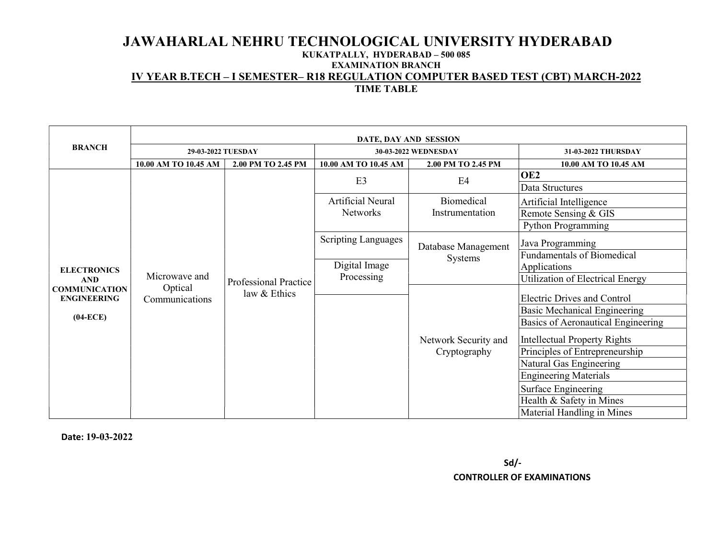## KUKATPALLY, HYDERABAD – 500 085

#### EXAMINATION BRANCH

## IV YEAR B.TECH – I SEMESTER– R18 REGULATION COMPUTER BASED TEST (CBT) MARCH-2022

TIME TABLE

|                                            |                      |                              | DATE, DAY AND SESSION      |                      |                                     |
|--------------------------------------------|----------------------|------------------------------|----------------------------|----------------------|-------------------------------------|
| <b>BRANCH</b>                              | 29-03-2022 TUESDAY   |                              |                            | 30-03-2022 WEDNESDAY | 31-03-2022 THURSDAY                 |
|                                            | 10.00 AM TO 10.45 AM | 2.00 PM TO 2.45 PM           | 10.00 AM TO 10.45 AM       | 2.00 PM TO 2.45 PM   | 10.00 AM TO 10.45 AM                |
|                                            |                      |                              | E <sub>3</sub>             | E <sub>4</sub>       | <b>OE2</b>                          |
|                                            |                      |                              |                            |                      | Data Structures                     |
|                                            |                      |                              | <b>Artificial Neural</b>   | Biomedical           | Artificial Intelligence             |
|                                            |                      |                              | Networks                   | Instrumentation      | Remote Sensing & GIS                |
|                                            |                      |                              |                            |                      | Python Programming                  |
|                                            |                      | <b>Professional Practice</b> | <b>Scripting Languages</b> | Database Management  | Java Programming                    |
|                                            | Microwave and        |                              |                            | Systems              | <b>Fundamentals of Biomedical</b>   |
| <b>ELECTRONICS</b>                         |                      |                              | Digital Image              |                      | Applications                        |
| <b>AND</b>                                 | Optical              |                              | Processing                 |                      | Utilization of Electrical Energy    |
| <b>COMMUNICATION</b><br><b>ENGINEERING</b> | Communications       | law & Ethics                 |                            |                      | Electric Drives and Control         |
|                                            |                      |                              |                            |                      | <b>Basic Mechanical Engineering</b> |
| $(04-ECE)$                                 |                      |                              |                            |                      | Basics of Aeronautical Engineering  |
|                                            |                      |                              |                            | Network Security and | <b>Intellectual Property Rights</b> |
|                                            |                      |                              |                            | Cryptography         | Principles of Entrepreneurship      |
|                                            |                      |                              |                            |                      | Natural Gas Engineering             |
|                                            |                      |                              |                            |                      | <b>Engineering Materials</b>        |
|                                            |                      |                              |                            |                      | Surface Engineering                 |
|                                            |                      |                              |                            |                      | Health & Safety in Mines            |
|                                            |                      |                              |                            |                      | Material Handling in Mines          |

Date: 19-03-2022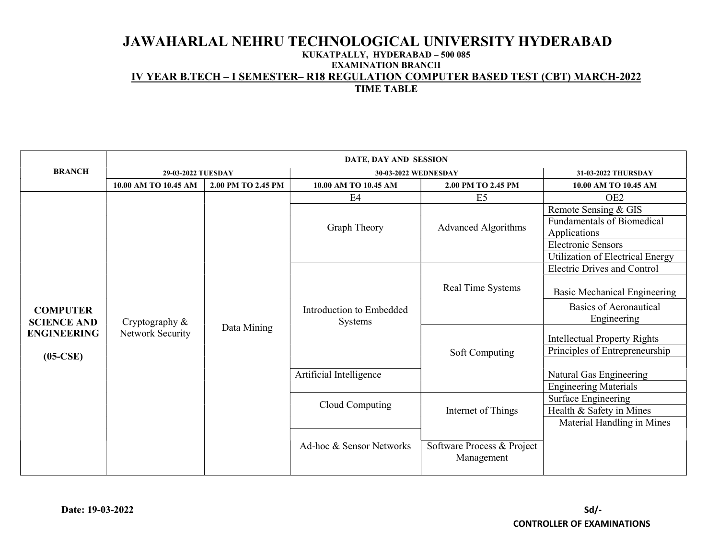## JAWAHARLAL NEHRU TECHNOLOGICAL UNIVERSITY HYDERABAD KUKATPALLY, HYDERABAD – 500 085 EXAMINATION BRANCH

## IV YEAR B.TECH – I SEMESTER– R18 REGULATION COMPUTER BASED TEST (CBT) MARCH-2022

TIME TABLE

|                    |                      |                    | DATE, DAY AND SESSION               |                                          |                                     |
|--------------------|----------------------|--------------------|-------------------------------------|------------------------------------------|-------------------------------------|
| <b>BRANCH</b>      | 29-03-2022 TUESDAY   |                    | 30-03-2022 WEDNESDAY                |                                          | 31-03-2022 THURSDAY                 |
|                    | 10.00 AM TO 10.45 AM | 2.00 PM TO 2.45 PM | 10.00 AM TO 10.45 AM                | 2.00 PM TO 2.45 PM                       | 10.00 AM TO 10.45 AM                |
|                    |                      |                    | E4                                  | E <sub>5</sub>                           | OE <sub>2</sub>                     |
|                    |                      |                    |                                     |                                          | Remote Sensing & GIS                |
|                    |                      |                    |                                     |                                          | <b>Fundamentals of Biomedical</b>   |
|                    |                      |                    | Graph Theory                        | <b>Advanced Algorithms</b>               | Applications                        |
|                    |                      |                    |                                     |                                          | <b>Electronic Sensors</b>           |
|                    |                      |                    |                                     |                                          | Utilization of Electrical Energy    |
|                    |                      |                    |                                     |                                          | <b>Electric Drives and Control</b>  |
|                    | Cryptography &       |                    |                                     | Real Time Systems                        | <b>Basic Mechanical Engineering</b> |
| <b>COMPUTER</b>    |                      |                    | Introduction to Embedded<br>Systems |                                          | <b>Basics of Aeronautical</b>       |
| <b>SCIENCE AND</b> |                      |                    |                                     |                                          | Engineering                         |
| <b>ENGINEERING</b> | Network Security     | Data Mining        |                                     | Soft Computing                           | <b>Intellectual Property Rights</b> |
| $(05-CSE)$         |                      |                    |                                     |                                          | Principles of Entrepreneurship      |
|                    |                      |                    | Artificial Intelligence             |                                          | Natural Gas Engineering             |
|                    |                      |                    |                                     |                                          | <b>Engineering Materials</b>        |
|                    |                      |                    | Cloud Computing                     |                                          | Surface Engineering                 |
|                    |                      |                    |                                     | Internet of Things                       | Health & Safety in Mines            |
|                    |                      |                    |                                     |                                          | Material Handling in Mines          |
|                    |                      |                    | Ad-hoc & Sensor Networks            | Software Process & Project<br>Management |                                     |
|                    |                      |                    |                                     |                                          |                                     |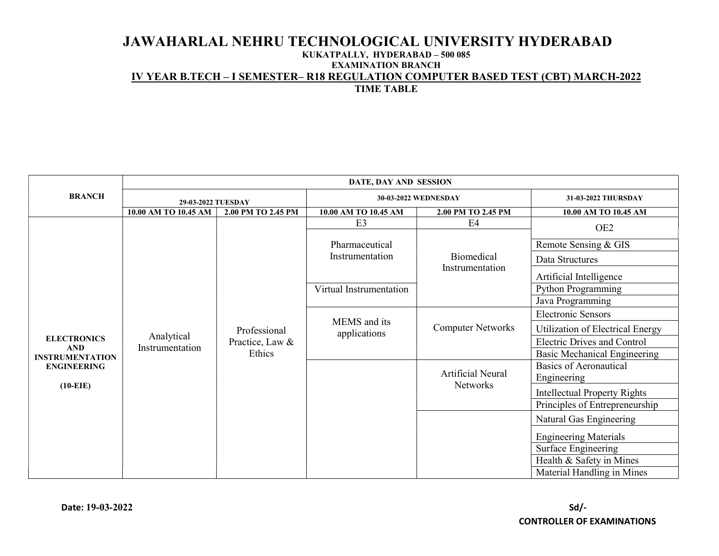#### KUKATPALLY, HYDERABAD – 500 085 EXAMINATION BRANCH IV YEAR B.TECH – I SEMESTER– R18 REGULATION COMPUTER BASED TEST (CBT) MARCH-2022 TIME TABLE

|                                  | DATE, DAY AND SESSION         |                                 |                              |                                             |                                     |  |
|----------------------------------|-------------------------------|---------------------------------|------------------------------|---------------------------------------------|-------------------------------------|--|
| <b>BRANCH</b>                    | 29-03-2022 TUESDAY            |                                 | 30-03-2022 WEDNESDAY         |                                             | 31-03-2022 THURSDAY                 |  |
|                                  | 10.00 AM TO 10.45 AM          | 2.00 PM TO 2.45 PM              | 10.00 AM TO 10.45 AM         | 2.00 PM TO 2.45 PM                          | 10.00 AM TO 10.45 AM                |  |
|                                  |                               |                                 | E <sub>3</sub>               | E <sub>4</sub>                              | OE <sub>2</sub>                     |  |
|                                  |                               |                                 | Pharmaceutical               |                                             | Remote Sensing & GIS                |  |
|                                  |                               |                                 | Instrumentation              | Biomedical                                  | Data Structures                     |  |
|                                  |                               |                                 |                              | Instrumentation                             | Artificial Intelligence             |  |
|                                  |                               |                                 | Virtual Instrumentation      |                                             | Python Programming                  |  |
|                                  |                               |                                 |                              |                                             | Java Programming                    |  |
|                                  | Analytical<br>Instrumentation | Professional<br>Practice, Law & | MEMS and its<br>applications | <b>Computer Networks</b>                    | <b>Electronic Sensors</b>           |  |
|                                  |                               |                                 |                              |                                             | Utilization of Electrical Energy    |  |
| <b>ELECTRONICS</b><br><b>AND</b> |                               |                                 |                              |                                             | <b>Electric Drives and Control</b>  |  |
| <b>INSTRUMENTATION</b>           |                               | Ethics                          |                              |                                             | <b>Basic Mechanical Engineering</b> |  |
| <b>ENGINEERING</b>               |                               |                                 |                              | <b>Artificial Neural</b><br><b>Networks</b> | <b>Basics of Aeronautical</b>       |  |
| $(10-EIE)$                       |                               |                                 |                              |                                             | Engineering                         |  |
|                                  |                               |                                 |                              |                                             | <b>Intellectual Property Rights</b> |  |
|                                  |                               |                                 |                              |                                             | Principles of Entrepreneurship      |  |
|                                  |                               |                                 |                              |                                             | Natural Gas Engineering             |  |
|                                  |                               |                                 |                              |                                             | <b>Engineering Materials</b>        |  |
|                                  |                               |                                 |                              |                                             | Surface Engineering                 |  |
|                                  |                               |                                 |                              |                                             | Health & Safety in Mines            |  |
|                                  |                               |                                 |                              |                                             | Material Handling in Mines          |  |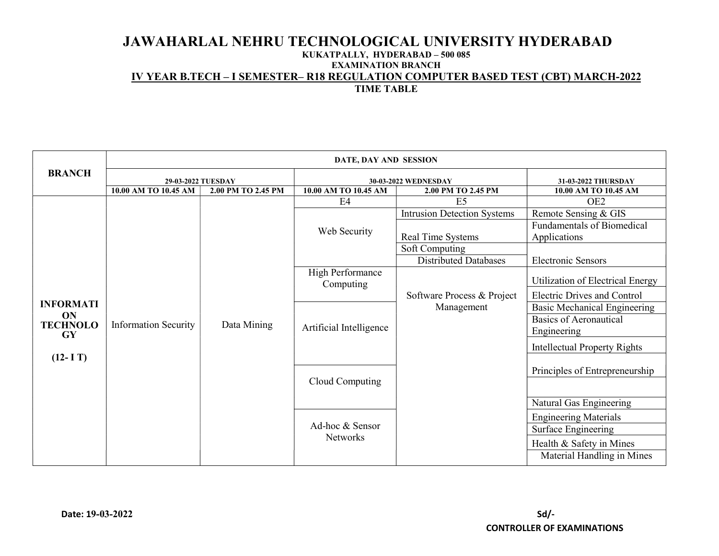## JAWAHARLAL NEHRU TECHNOLOGICAL UNIVERSITY HYDERABAD KUKATPALLY, HYDERABAD – 500 085 EXAMINATION BRANCH IV YEAR B.TECH – I SEMESTER– R18 REGULATION COMPUTER BASED TEST (CBT) MARCH-2022

TIME TABLE

| <b>BRANCH</b>                | 29-03-2022 TUESDAY          |                    |                               | 30-03-2022 WEDNESDAY               |                                     |
|------------------------------|-----------------------------|--------------------|-------------------------------|------------------------------------|-------------------------------------|
|                              | 10.00 AM TO 10.45 AM        | 2.00 PM TO 2.45 PM | 10.00 AM TO 10.45 AM          | 2.00 PM TO 2.45 PM                 | 10.00 AM TO 10.45 AM                |
|                              |                             |                    | E4                            | E <sub>5</sub>                     | OE <sub>2</sub>                     |
|                              |                             |                    |                               | <b>Intrusion Detection Systems</b> | Remote Sensing & GIS                |
|                              |                             |                    |                               |                                    | <b>Fundamentals of Biomedical</b>   |
|                              |                             |                    | Web Security                  | Real Time Systems                  | Applications                        |
|                              |                             |                    |                               | Soft Computing                     |                                     |
|                              |                             |                    |                               | Distributed Databases              | <b>Electronic Sensors</b>           |
|                              |                             |                    | High Performance<br>Computing |                                    | Utilization of Electrical Energy    |
|                              |                             |                    |                               | Software Process & Project         | <b>Electric Drives and Control</b>  |
| <b>INFORMATI</b>             |                             |                    |                               | Management                         | <b>Basic Mechanical Engineering</b> |
| <b>ON</b><br><b>TECHNOLO</b> | <b>Information Security</b> | Data Mining        |                               |                                    | <b>Basics of Aeronautical</b>       |
| <b>GY</b>                    |                             |                    | Artificial Intelligence       |                                    | Engineering                         |
|                              |                             |                    |                               |                                    | <b>Intellectual Property Rights</b> |
| $(12-I)$                     |                             |                    |                               |                                    | Principles of Entrepreneurship      |
|                              |                             |                    | Cloud Computing               |                                    |                                     |
|                              |                             |                    |                               |                                    | Natural Gas Engineering             |
|                              |                             |                    |                               |                                    | <b>Engineering Materials</b>        |
|                              |                             |                    | Ad-hoc & Sensor               |                                    | Surface Engineering                 |
|                              |                             |                    | <b>Networks</b>               |                                    | Health & Safety in Mines            |
|                              |                             |                    |                               |                                    | Material Handling in Mines          |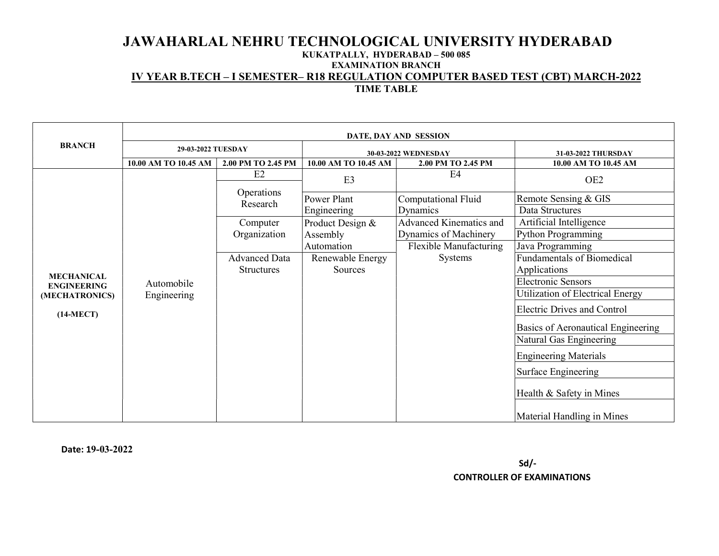#### KUKATPALLY, HYDERABAD – 500 085

#### EXAMINATION BRANCH

## IV YEAR B.TECH – I SEMESTER– R18 REGULATION COMPUTER BASED TEST (CBT) MARCH-2022

## TIME TABLE

|                    | DATE, DAY AND SESSION |                        |                      |                         |                                    |  |  |  |
|--------------------|-----------------------|------------------------|----------------------|-------------------------|------------------------------------|--|--|--|
| <b>BRANCH</b>      | 29-03-2022 TUESDAY    |                        |                      | 30-03-2022 WEDNESDAY    | 31-03-2022 THURSDAY                |  |  |  |
|                    | 10.00 AM TO 10.45 AM  | 2.00 PM TO 2.45 PM     | 10.00 AM TO 10.45 AM | 2.00 PM TO 2.45 PM      | 10.00 AM TO 10.45 AM               |  |  |  |
|                    |                       | E2                     | E <sub>3</sub>       | E <sub>4</sub>          | OE <sub>2</sub>                    |  |  |  |
|                    |                       | Operations<br>Research | Power Plant          | Computational Fluid     | Remote Sensing & GIS               |  |  |  |
|                    |                       |                        | Engineering          | Dynamics                | Data Structures                    |  |  |  |
|                    |                       | Computer               | Product Design &     | Advanced Kinematics and | Artificial Intelligence            |  |  |  |
|                    |                       | Organization           | Assembly             | Dynamics of Machinery   | Python Programming                 |  |  |  |
|                    |                       |                        | Automation           | Flexible Manufacturing  | Java Programming                   |  |  |  |
|                    |                       | <b>Advanced Data</b>   | Renewable Energy     | Systems                 | <b>Fundamentals of Biomedical</b>  |  |  |  |
| <b>MECHANICAL</b>  |                       | <b>Structures</b>      | Sources              |                         | Applications                       |  |  |  |
| <b>ENGINEERING</b> | Automobile            |                        |                      |                         | <b>Electronic Sensors</b>          |  |  |  |
| (MECHATRONICS)     | Engineering           |                        |                      |                         | Utilization of Electrical Energy   |  |  |  |
| $(14-MECT)$        |                       |                        |                      |                         | <b>Electric Drives and Control</b> |  |  |  |
|                    |                       |                        |                      |                         | Basics of Aeronautical Engineering |  |  |  |
|                    |                       |                        |                      |                         | Natural Gas Engineering            |  |  |  |
|                    |                       |                        |                      |                         | <b>Engineering Materials</b>       |  |  |  |
|                    |                       |                        |                      |                         | Surface Engineering                |  |  |  |
|                    |                       |                        |                      |                         | Health & Safety in Mines           |  |  |  |
|                    |                       |                        |                      |                         | Material Handling in Mines         |  |  |  |

Date: 19-03-2022

 Sd/- CONTROLLER OF EXAMINATIONS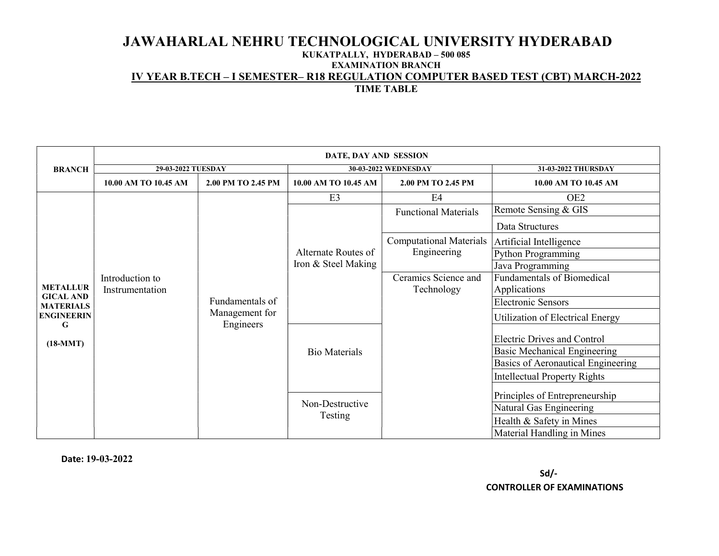## JAWAHARLAL NEHRU TECHNOLOGICAL UNIVERSITY HYDERABAD KUKATPALLY, HYDERABAD – 500 085

#### EXAMINATION BRANCH

### IV YEAR B.TECH – I SEMESTER– R18 REGULATION COMPUTER BASED TEST (CBT) MARCH-2022

TIME TABLE

|                                      |                      | DATE, DAY AND SESSION                          |                      |                                |                                         |
|--------------------------------------|----------------------|------------------------------------------------|----------------------|--------------------------------|-----------------------------------------|
| <b>BRANCH</b>                        | 29-03-2022 TUESDAY   |                                                |                      | 30-03-2022 WEDNESDAY           | 31-03-2022 THURSDAY                     |
|                                      | 10.00 AM TO 10.45 AM | 2.00 PM TO 2.45 PM                             | 10.00 AM TO 10.45 AM | 2.00 PM TO 2.45 PM             | 10.00 AM TO 10.45 AM                    |
|                                      |                      |                                                | E <sub>3</sub>       | E4                             | OE <sub>2</sub>                         |
|                                      |                      |                                                |                      | <b>Functional Materials</b>    | Remote Sensing & GIS                    |
|                                      |                      |                                                |                      |                                | Data Structures                         |
|                                      |                      |                                                |                      | <b>Computational Materials</b> | Artificial Intelligence                 |
|                                      |                      |                                                | Alternate Routes of  | Engineering                    | <b>Python Programming</b>               |
|                                      |                      |                                                | Iron & Steel Making  |                                | Java Programming                        |
|                                      | Introduction to      | Fundamentals of<br>Management for<br>Engineers |                      | Ceramics Science and           | <b>Fundamentals of Biomedical</b>       |
| <b>METALLUR</b>                      | Instrumentation      |                                                |                      | Technology                     | Applications                            |
| <b>GICAL AND</b><br><b>MATERIALS</b> |                      |                                                |                      |                                | <b>Electronic Sensors</b>               |
| <b>ENGINEERIN</b>                    |                      |                                                |                      |                                | <b>Utilization of Electrical Energy</b> |
| G<br>$(18-MMT)$                      |                      |                                                |                      |                                | <b>Electric Drives and Control</b>      |
|                                      |                      |                                                | <b>Bio Materials</b> |                                | Basic Mechanical Engineering            |
|                                      |                      |                                                |                      |                                | Basics of Aeronautical Engineering      |
|                                      |                      |                                                |                      |                                | <b>Intellectual Property Rights</b>     |
|                                      |                      |                                                |                      |                                | Principles of Entrepreneurship          |
|                                      |                      |                                                | Non-Destructive      |                                | Natural Gas Engineering                 |
|                                      |                      |                                                | Testing              |                                | Health & Safety in Mines                |
|                                      |                      |                                                |                      |                                | Material Handling in Mines              |

Date: 19-03-2022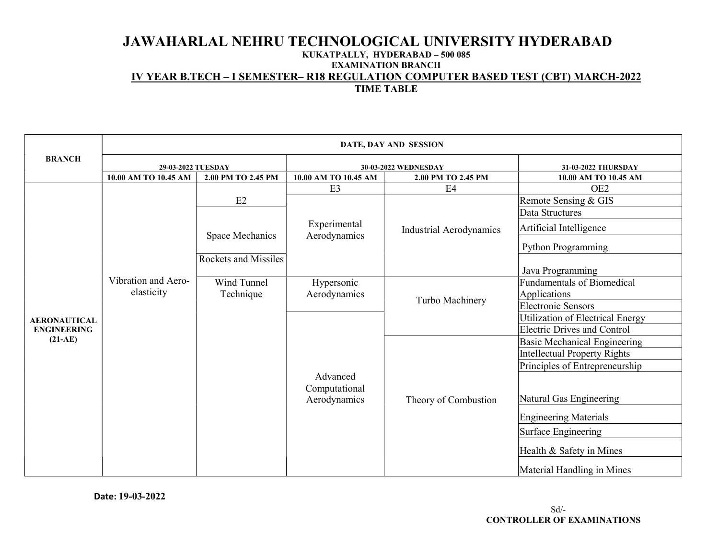## JAWAHARLAL NEHRU TECHNOLOGICAL UNIVERSITY HYDERABAD KUKATPALLY, HYDERABAD – 500 085 EXAMINATION BRANCH

### IV YEAR B.TECH – I SEMESTER– R18 REGULATION COMPUTER BASED TEST (CBT) MARCH-2022

TIME TABLE

|                                   | DATE, DAY AND SESSION |                      |                               |                                |                                     |  |  |  |
|-----------------------------------|-----------------------|----------------------|-------------------------------|--------------------------------|-------------------------------------|--|--|--|
| <b>BRANCH</b>                     | 29-03-2022 TUESDAY    |                      |                               | 30-03-2022 WEDNESDAY           | 31-03-2022 THURSDAY                 |  |  |  |
|                                   | 10.00 AM TO 10.45 AM  | 2.00 PM TO 2.45 PM   | 10.00 AM TO 10.45 AM          | 2.00 PM TO 2.45 PM             | 10.00 AM TO 10.45 AM                |  |  |  |
|                                   |                       |                      | E <sub>3</sub>                | E4                             | OE <sub>2</sub>                     |  |  |  |
|                                   |                       | E2                   |                               |                                | Remote Sensing & GIS                |  |  |  |
|                                   |                       |                      |                               |                                | Data Structures                     |  |  |  |
|                                   |                       | Space Mechanics      | Experimental<br>Aerodynamics  | <b>Industrial Aerodynamics</b> | Artificial Intelligence             |  |  |  |
|                                   |                       |                      |                               |                                | Python Programming                  |  |  |  |
|                                   |                       | Rockets and Missiles |                               |                                | Java Programming                    |  |  |  |
| Vibration and Aero-<br>elasticity |                       | Wind Tunnel          | Hypersonic<br>Aerodynamics    |                                | <b>Fundamentals of Biomedical</b>   |  |  |  |
|                                   |                       | Technique            |                               | Turbo Machinery                | Applications                        |  |  |  |
|                                   |                       |                      |                               |                                | <b>Electronic Sensors</b>           |  |  |  |
| <b>AERONAUTICAL</b>               |                       |                      |                               |                                | Utilization of Electrical Energy    |  |  |  |
| <b>ENGINEERING</b>                |                       |                      |                               |                                | <b>Electric Drives and Control</b>  |  |  |  |
| $(21-AE)$                         |                       |                      |                               |                                | <b>Basic Mechanical Engineering</b> |  |  |  |
|                                   |                       |                      |                               |                                | <b>Intellectual Property Rights</b> |  |  |  |
|                                   |                       |                      |                               |                                | Principles of Entrepreneurship      |  |  |  |
|                                   |                       |                      | Advanced                      |                                |                                     |  |  |  |
|                                   |                       |                      | Computational<br>Aerodynamics | Theory of Combustion           | Natural Gas Engineering             |  |  |  |
|                                   |                       |                      |                               |                                | <b>Engineering Materials</b>        |  |  |  |
|                                   |                       |                      |                               |                                | Surface Engineering                 |  |  |  |
|                                   |                       |                      |                               |                                | Health & Safety in Mines            |  |  |  |
|                                   |                       |                      |                               |                                | Material Handling in Mines          |  |  |  |

Date: 19-03-2022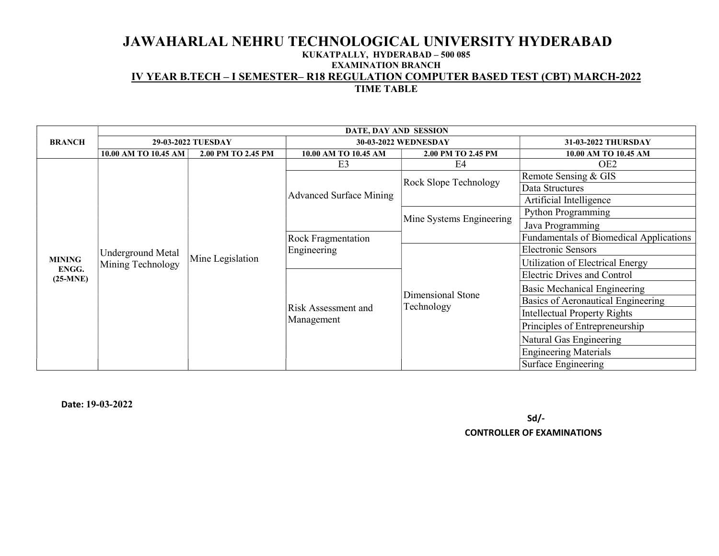#### KUKATPALLY, HYDERABAD – 500 085 EXAMINATION BRANCH

## IV YEAR B.TECH – I SEMESTER– R18 REGULATION COMPUTER BASED TEST (CBT) MARCH-2022

TIME TABLE

|                     |                          |                           | DATE, DAY AND SESSION          |                                                |                                     |
|---------------------|--------------------------|---------------------------|--------------------------------|------------------------------------------------|-------------------------------------|
| <b>BRANCH</b>       |                          | 29-03-2022 TUESDAY        |                                | 30-03-2022 WEDNESDAY                           | 31-03-2022 THURSDAY                 |
|                     | 10.00 AM TO 10.45 AM     | 2.00 PM TO 2.45 PM        | 10.00 AM TO 10.45 AM           | 2.00 PM TO 2.45 PM                             | 10.00 AM TO 10.45 AM                |
|                     |                          |                           | E <sub>3</sub>                 | E <sub>4</sub>                                 | OE <sub>2</sub>                     |
|                     |                          |                           |                                | <b>Rock Slope Technology</b>                   | Remote Sensing & GIS                |
|                     |                          |                           |                                |                                                | Data Structures                     |
|                     |                          |                           | <b>Advanced Surface Mining</b> |                                                | Artificial Intelligence             |
|                     |                          |                           |                                |                                                | Python Programming                  |
|                     |                          |                           |                                | Mine Systems Engineering                       | Java Programming                    |
|                     |                          | <b>Rock Fragmentation</b> |                                | <b>Fundamentals of Biomedical Applications</b> |                                     |
|                     | <b>Underground Metal</b> | Mine Legislation          | Engineering                    |                                                | <b>Electronic Sensors</b>           |
| <b>MINING</b>       | Mining Technology        |                           |                                |                                                | Utilization of Electrical Energy    |
| ENGG.<br>$(25-MNE)$ |                          |                           |                                |                                                | <b>Electric Drives and Control</b>  |
|                     |                          |                           |                                |                                                | <b>Basic Mechanical Engineering</b> |
|                     |                          |                           |                                | Dimensional Stone                              | Basics of Aeronautical Engineering  |
|                     |                          |                           | Risk Assessment and            | Technology                                     | Intellectual Property Rights        |
|                     |                          |                           | Management                     |                                                | Principles of Entrepreneurship      |
|                     |                          |                           |                                |                                                | Natural Gas Engineering             |
|                     |                          |                           |                                |                                                | <b>Engineering Materials</b>        |
|                     |                          |                           |                                |                                                | Surface Engineering                 |

Date: 19-03-2022

 $Sd$ CONTROLLER OF EXAMINATIONS